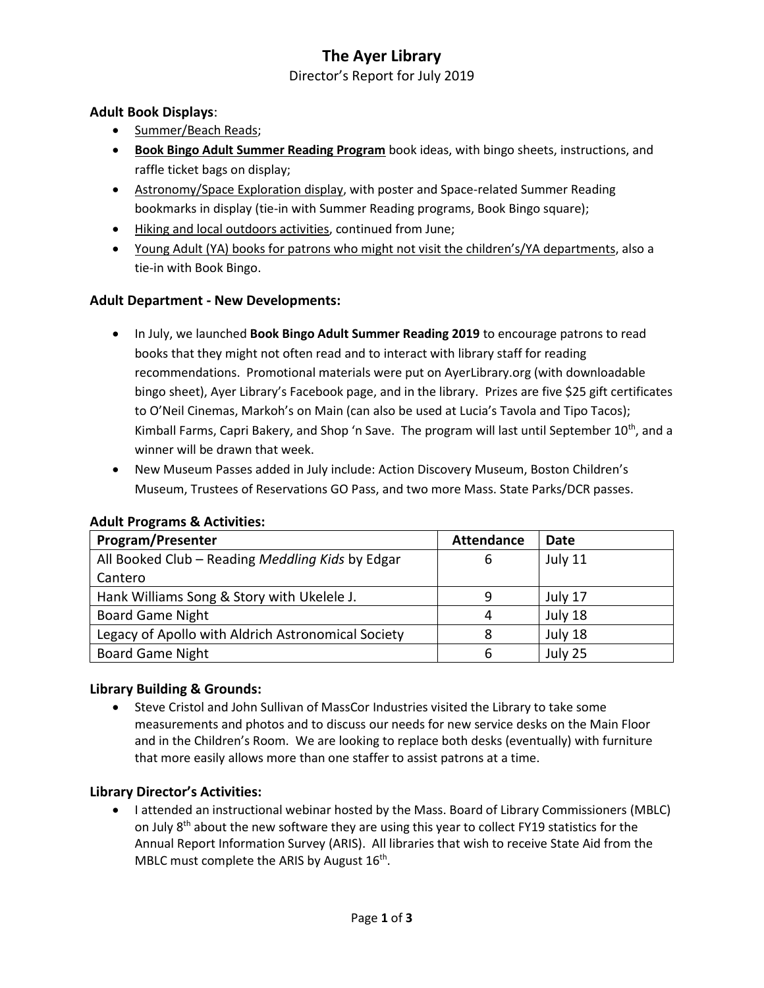### **The Ayer Library**

Director's Report for July 2019

#### **Adult Book Displays**:

- Summer/Beach Reads;
- **Book Bingo Adult Summer Reading Program** book ideas, with bingo sheets, instructions, and raffle ticket bags on display;
- Astronomy/Space Exploration display, with poster and Space-related Summer Reading bookmarks in display (tie-in with Summer Reading programs, Book Bingo square);
- Hiking and local outdoors activities, continued from June;
- Young Adult (YA) books for patrons who might not visit the children's/YA departments, also a tie-in with Book Bingo.

### **Adult Department - New Developments:**

- In July, we launched **Book Bingo Adult Summer Reading 2019** to encourage patrons to read books that they might not often read and to interact with library staff for reading recommendations. Promotional materials were put on AyerLibrary.org (with downloadable bingo sheet), Ayer Library's Facebook page, and in the library. Prizes are five \$25 gift certificates to O'Neil Cinemas, Markoh's on Main (can also be used at Lucia's Tavola and Tipo Tacos); Kimball Farms, Capri Bakery, and Shop 'n Save. The program will last until September 10<sup>th</sup>, and a winner will be drawn that week.
- New Museum Passes added in July include: Action Discovery Museum, Boston Children's Museum, Trustees of Reservations GO Pass, and two more Mass. State Parks/DCR passes.

| <b>Program/Presenter</b>                           | <b>Attendance</b> | Date    |
|----------------------------------------------------|-------------------|---------|
| All Booked Club - Reading Meddling Kids by Edgar   | 6                 | July 11 |
| Cantero                                            |                   |         |
| Hank Williams Song & Story with Ukelele J.         | q                 | July 17 |
| <b>Board Game Night</b>                            | 4                 | July 18 |
| Legacy of Apollo with Aldrich Astronomical Society |                   | July 18 |
| <b>Board Game Night</b>                            |                   | July 25 |

#### **Adult Programs & Activities:**

#### **Library Building & Grounds:**

 Steve Cristol and John Sullivan of MassCor Industries visited the Library to take some measurements and photos and to discuss our needs for new service desks on the Main Floor and in the Children's Room. We are looking to replace both desks (eventually) with furniture that more easily allows more than one staffer to assist patrons at a time.

#### **Library Director's Activities:**

 I attended an instructional webinar hosted by the Mass. Board of Library Commissioners (MBLC) on July 8<sup>th</sup> about the new software they are using this year to collect FY19 statistics for the Annual Report Information Survey (ARIS). All libraries that wish to receive State Aid from the MBLC must complete the ARIS by August  $16^{th}$ .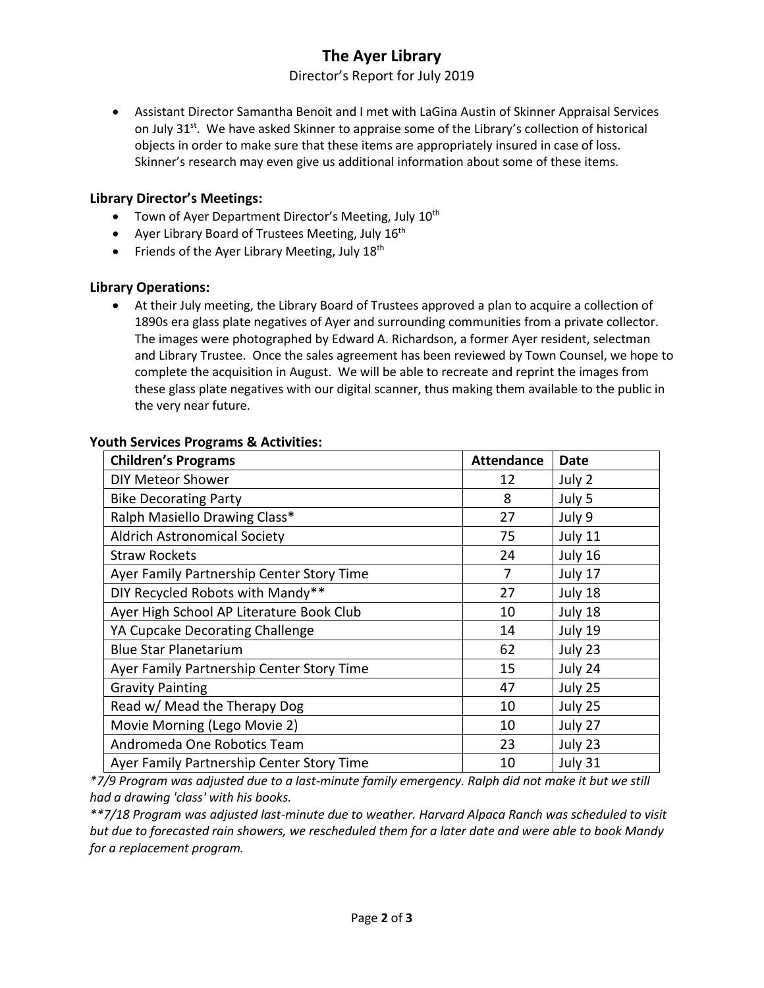# **The Ayer Library**

Director's Report for July 2019

 Assistant Director Samantha Benoit and I met with LaGina Austin of Skinner Appraisal Services on July 31<sup>st</sup>. We have asked Skinner to appraise some of the Library's collection of historical objects in order to make sure that these items are appropriately insured in case of loss. Skinner's research may even give us additional information about some of these items.

#### **Library Director's Meetings:**

- Town of Ayer Department Director's Meeting, July 10<sup>th</sup>
- Ayer Library Board of Trustees Meeting, July  $16<sup>th</sup>$
- Friends of the Ayer Library Meeting, July  $18<sup>th</sup>$

#### **Library Operations:**

 At their July meeting, the Library Board of Trustees approved a plan to acquire a collection of 1890s era glass plate negatives of Ayer and surrounding communities from a private collector. The images were photographed by Edward A. Richardson, a former Ayer resident, selectman and Library Trustee. Once the sales agreement has been reviewed by Town Counsel, we hope to complete the acquisition in August. We will be able to recreate and reprint the images from these glass plate negatives with our digital scanner, thus making them available to the public in the very near future.

| <b>Children's Programs</b>                | <b>Attendance</b> | Date    |
|-------------------------------------------|-------------------|---------|
| <b>DIY Meteor Shower</b>                  | 12                | July 2  |
| <b>Bike Decorating Party</b>              | 8                 | July 5  |
| Ralph Masiello Drawing Class*             | 27                | July 9  |
| <b>Aldrich Astronomical Society</b>       | 75                | July 11 |
| <b>Straw Rockets</b>                      | 24                | July 16 |
| Ayer Family Partnership Center Story Time | 7                 | July 17 |
| DIY Recycled Robots with Mandy**          | 27                | July 18 |
| Ayer High School AP Literature Book Club  | 10                | July 18 |
| YA Cupcake Decorating Challenge           | 14                | July 19 |
| <b>Blue Star Planetarium</b>              | 62                | July 23 |
| Ayer Family Partnership Center Story Time | 15                | July 24 |
| <b>Gravity Painting</b>                   | 47                | July 25 |
| Read w/ Mead the Therapy Dog              | 10                | July 25 |
| Movie Morning (Lego Movie 2)              | 10                | July 27 |
| Andromeda One Robotics Team               | 23                | July 23 |
| Ayer Family Partnership Center Story Time | 10                | July 31 |

#### **Youth Services Programs & Activities:**

*\*7/9 Program was adjusted due to a last-minute family emergency. Ralph did not make it but we still had a drawing 'class' with his books.*

*\*\*7/18 Program was adjusted last-minute due to weather. Harvard Alpaca Ranch was scheduled to visit but due to forecasted rain showers, we rescheduled them for a later date and were able to book Mandy for a replacement program.*